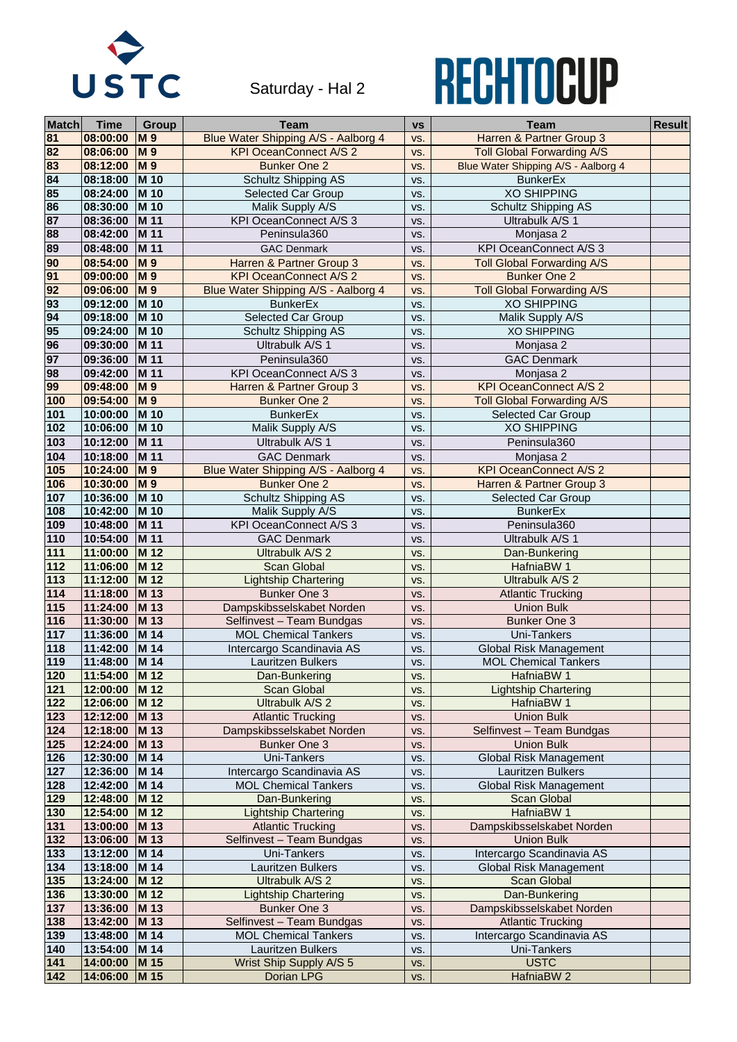| <b>Match</b> | <b>Time</b>   | <b>Group</b>     | <b>Team</b>                         | <b>VS</b> | <b>Team</b>                         | <b>Result</b> |
|--------------|---------------|------------------|-------------------------------------|-----------|-------------------------------------|---------------|
| 81           | 08:00:00      | <b>M9</b>        | Blue Water Shipping A/S - Aalborg 4 | VS.       | Harren & Partner Group 3            |               |
| 82           | 08:06:00      | <b>M9</b>        | <b>KPI OceanConnect A/S 2</b>       | VS.       | <b>Toll Global Forwarding A/S</b>   |               |
| 83           | 08:12:00      | <b>M9</b>        | <b>Bunker One 2</b>                 | VS.       | Blue Water Shipping A/S - Aalborg 4 |               |
| 84           | 08:18:00      | <b>M</b> 10      | <b>Schultz Shipping AS</b>          | VS.       | <b>BunkerEx</b>                     |               |
| 85           | 08:24:00      | M 10             | <b>Selected Car Group</b>           | VS.       | <b>XO SHIPPING</b>                  |               |
| 86           | 08:30:00      | M 10             | Malik Supply A/S                    | VS.       | <b>Schultz Shipping AS</b>          |               |
| 87           | 08:36:00      | M 11             | <b>KPI OceanConnect A/S 3</b>       | VS.       | Ultrabulk A/S 1                     |               |
| 88           | 08:42:00      | M 11             | Peninsula360                        | VS.       | Monjasa 2                           |               |
| 89           | 08:48:00      | M 11             | <b>GAC Denmark</b>                  | VS.       | <b>KPI OceanConnect A/S 3</b>       |               |
| 90           | 08:54:00      | <b>M9</b>        | Harren & Partner Group 3            | VS.       | <b>Toll Global Forwarding A/S</b>   |               |
| 91           | 09:00:00      | <b>M9</b>        | <b>KPI OceanConnect A/S 2</b>       | VS.       | <b>Bunker One 2</b>                 |               |
| 92           | 09:06:00      | <b>M9</b>        | Blue Water Shipping A/S - Aalborg 4 | VS.       | <b>Toll Global Forwarding A/S</b>   |               |
| 93           | 09:12:00      | M 10             | <b>BunkerEx</b>                     | VS.       | <b>XO SHIPPING</b>                  |               |
| 94           | 09:18:00      | M 10             | <b>Selected Car Group</b>           | VS.       | Malik Supply A/S                    |               |
| 95           | 09:24:00      | M 10             | <b>Schultz Shipping AS</b>          | VS.       | <b>XO SHIPPING</b>                  |               |
| 96           | 09:30:00      | M 11             | Ultrabulk A/S 1                     | VS.       | Monjasa 2                           |               |
| 97           | 09:36:00      | <b>M</b> 11      | Peninsula360                        | VS.       | <b>GAC Denmark</b>                  |               |
| 98           | 09:42:00      | M 11             | <b>KPI OceanConnect A/S 3</b>       | VS.       | Monjasa 2                           |               |
| 99           | 09:48:00      | <b>M9</b>        | Harren & Partner Group 3            | VS.       | <b>KPI OceanConnect A/S 2</b>       |               |
| 100          | 09:54:00      | <b>M9</b>        | <b>Bunker One 2</b>                 | VS.       | <b>Toll Global Forwarding A/S</b>   |               |
| 101          | 10:00:00      | M 10             | <b>BunkerEx</b>                     | VS.       | <b>Selected Car Group</b>           |               |
| 102          | 10:06:00      | <b>M</b> 10      | Malik Supply A/S                    | VS.       | <b>XO SHIPPING</b>                  |               |
| 103          | 10:12:00      | M 11             | Ultrabulk A/S 1                     | VS.       | Peninsula360                        |               |
| 104          | 10:18:00      | M 11             | <b>GAC Denmark</b>                  | VS.       | Monjasa 2                           |               |
| 105          | 10:24:00      | <b>M9</b>        | Blue Water Shipping A/S - Aalborg 4 | VS.       | <b>KPI OceanConnect A/S 2</b>       |               |
| 106          | 10:30:00      | $\overline{M}$ 9 | <b>Bunker One 2</b>                 | VS.       | Harren & Partner Group 3            |               |
| 107          | 10:36:00      | M 10             | <b>Schultz Shipping AS</b>          | VS.       | <b>Selected Car Group</b>           |               |
| 108          | 10:42:00 M 10 |                  | Malik Supply A/S                    | VS.       | <b>BunkerEx</b>                     |               |
| 109          | 10:48:00      | M 11             | <b>KPI OceanConnect A/S 3</b>       | VS.       | Peninsula360                        |               |
| 110          | 10:54:00      | M 11             | <b>GAC Denmark</b>                  | VS.       | Ultrabulk A/S 1                     |               |
| 111          | 11:00:00      | M 12             | Ultrabulk A/S 2                     | VS.       | Dan-Bunkering                       |               |
| 112          | 11:06:00      | M 12             | <b>Scan Global</b>                  | VS.       | HafniaBW 1                          |               |
| 113          | 11:12:00      | <b>M</b> 12      | <b>Lightship Chartering</b>         | VS.       | <b>Ultrabulk A/S 2</b>              |               |
| 114          | 11:18:00      | M 13             | <b>Bunker One 3</b>                 | VS.       | <b>Atlantic Trucking</b>            |               |
| 115          | 11:24:00      | M 13             | Dampskibsselskabet Norden           | VS.       | <b>Union Bulk</b>                   |               |
| 116          | 11:30:00      | M 13             | Selfinvest - Team Bundgas           | VS.       | <b>Bunker One 3</b>                 |               |
| 117          | 11:36:00      | M 14             | <b>MOL Chemical Tankers</b>         | VS.       | <b>Uni-Tankers</b>                  |               |
| 118          | 11:42:00      | M 14             | Intercargo Scandinavia AS           | VS.       | <b>Global Risk Management</b>       |               |
| 119          | 11:48:00      | M 14             | <b>Lauritzen Bulkers</b>            | VS.       | <b>MOL Chemical Tankers</b>         |               |
| 120          | 11:54:00      | M 12             | Dan-Bunkering                       | VS.       | HafniaBW 1                          |               |
| 121          | 12:00:00      | M 12             | <b>Scan Global</b>                  | VS.       | <b>Lightship Chartering</b>         |               |
| 122          | 12:06:00      | M 12             | Ultrabulk A/S 2                     | VS.       | HafniaBW 1                          |               |
| 123          | 12:12:00      | M 13             | <b>Atlantic Trucking</b>            | VS.       | <b>Union Bulk</b>                   |               |
| 124          | 12:18:00      | M 13             | Dampskibsselskabet Norden           | VS.       | Selfinvest - Team Bundgas           |               |
| 125          | 12:24:00      | M 13             | <b>Bunker One 3</b>                 | VS.       | <b>Union Bulk</b>                   |               |
| 126          | 12:30:00      | M 14             | <b>Uni-Tankers</b>                  | VS.       | <b>Global Risk Management</b>       |               |
| 127          | 12:36:00      | M 14             | Intercargo Scandinavia AS           | VS.       | <b>Lauritzen Bulkers</b>            |               |
| 128          | 12:42:00      | M 14             | <b>MOL Chemical Tankers</b>         | VS.       | <b>Global Risk Management</b>       |               |
| 129          | 12:48:00      | M 12             | Dan-Bunkering                       | VS.       | <b>Scan Global</b>                  |               |
| 130          | 12:54:00      | <b>M</b> 12      | <b>Lightship Chartering</b>         | VS.       | HafniaBW 1                          |               |
| 131          | 13:00:00      | M 13             | <b>Atlantic Trucking</b>            | VS.       | Dampskibsselskabet Norden           |               |
| 132          | 13:06:00      | M 13             | Selfinvest - Team Bundgas           | VS.       | <b>Union Bulk</b>                   |               |
| 133          | 13:12:00      | M 14             | <b>Uni-Tankers</b>                  | VS.       | Intercargo Scandinavia AS           |               |
| 134          | 13:18:00      | M 14             | <b>Lauritzen Bulkers</b>            | VS.       | <b>Global Risk Management</b>       |               |
| 135          | 13:24:00      | M 12             | Ultrabulk A/S 2                     | VS.       | <b>Scan Global</b>                  |               |
| 136          | 13:30:00      | M 12             | <b>Lightship Chartering</b>         | VS.       | Dan-Bunkering                       |               |
| 137          | 13:36:00      | M 13             | <b>Bunker One 3</b>                 | VS.       | Dampskibsselskabet Norden           |               |
| 138          | 13:42:00      | M 13             | Selfinvest - Team Bundgas           | VS.       | <b>Atlantic Trucking</b>            |               |
| 139          | 13:48:00      | M 14             | <b>MOL Chemical Tankers</b>         | VS.       | Intercargo Scandinavia AS           |               |
| 140          | 13:54:00      | M 14             | Lauritzen Bulkers                   | VS.       | <b>Uni-Tankers</b>                  |               |
| 141          | 14:00:00      | M 15             | Wrist Ship Supply A/S 5             | VS.       | <b>USTC</b>                         |               |
| $142$        | 14:06:00      | M 15             | Dorian LPG                          | VS.       | HafniaBW 2                          |               |



Saturday - Hal 2

## RECHTOCUP